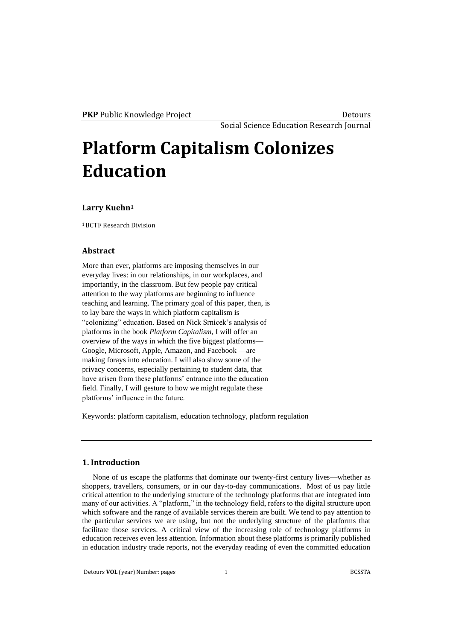Social Science Education Research Journal

# **Platform Capitalism Colonizes Education**

## **Larry Kuehn<sup>1</sup>**

<sup>1</sup>BCTF Research Division

# **Abstract**

More than ever, platforms are imposing themselves in our everyday lives: in our relationships, in our workplaces, and importantly, in the classroom. But few people pay critical attention to the way platforms are beginning to influence teaching and learning. The primary goal of this paper, then, is to lay bare the ways in which platform capitalism is "colonizing" education. Based on Nick Srnicek's analysis of platforms in the book *Platform Capitalism,* I will offer an overview of the ways in which the five biggest platforms— Google, Microsoft, Apple, Amazon, and Facebook —are making forays into education. I will also show some of the privacy concerns, especially pertaining to student data, that have arisen from these platforms' entrance into the education field. Finally, I will gesture to how we might regulate these platforms' influence in the future.

Keywords: platform capitalism, education technology, platform regulation

#### **1. Introduction**

None of us escape the platforms that dominate our twenty-first century lives—whether as shoppers, travellers, consumers, or in our day-to-day communications. Most of us pay little critical attention to the underlying structure of the technology platforms that are integrated into many of our activities. A "platform," in the technology field, refers to the digital structure upon which software and the range of available services therein are built. We tend to pay attention to the particular services we are using, but not the underlying structure of the platforms that facilitate those services. A critical view of the increasing role of technology platforms in education receives even less attention. Information about these platforms is primarily published in education industry trade reports, not the everyday reading of even the committed education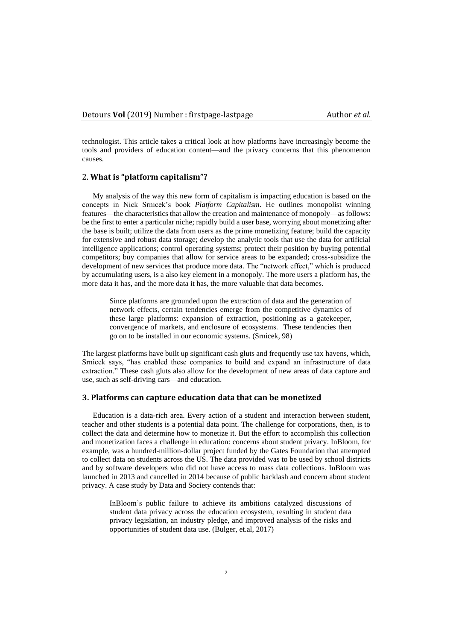technologist. This article takes a critical look at how platforms have increasingly become the tools and providers of education content—and the privacy concerns that this phenomenon causes.

#### 2. **What is "platform capitalism"?**

My analysis of the way this new form of capitalism is impacting education is based on the concepts in Nick Srnicek's book *Platform Capitalism*. He outlines monopolist winning features—the characteristics that allow the creation and maintenance of monopoly—as follows: be the first to enter a particular niche; rapidly build a user base, worrying about monetizing after the base is built; utilize the data from users as the prime monetizing feature; build the capacity for extensive and robust data storage; develop the analytic tools that use the data for artificial intelligence applications; control operating systems; protect their position by buying potential competitors; buy companies that allow for service areas to be expanded; cross-subsidize the development of new services that produce more data. The "network effect," which is produced by accumulating users, is a also key element in a monopoly. The more users a platform has, the more data it has, and the more data it has, the more valuable that data becomes.

Since platforms are grounded upon the extraction of data and the generation of network effects, certain tendencies emerge from the competitive dynamics of these large platforms: expansion of extraction, positioning as a gatekeeper, convergence of markets, and enclosure of ecosystems. These tendencies then go on to be installed in our economic systems. (Srnicek, 98)

The largest platforms have built up significant cash gluts and frequently use tax havens, which, Srnicek says, "has enabled these companies to build and expand an infrastructure of data extraction." These cash gluts also allow for the development of new areas of data capture and use, such as self-driving cars—and education.

# **3. Platforms can capture education data that can be monetized**

Education is a data-rich area. Every action of a student and interaction between student, teacher and other students is a potential data point. The challenge for corporations, then, is to collect the data and determine how to monetize it. But the effort to accomplish this collection and monetization faces a challenge in education: concerns about student privacy. InBloom, for example, was a hundred-million-dollar project funded by the Gates Foundation that attempted to collect data on students across the US. The data provided was to be used by school districts and by software developers who did not have access to mass data collections. InBloom was launched in 2013 and cancelled in 2014 because of public backlash and concern about student privacy. A case study by Data and Society contends that:

InBloom's public failure to achieve its ambitions catalyzed discussions of student data privacy across the education ecosystem, resulting in student data privacy legislation, an industry pledge, and improved analysis of the risks and opportunities of student data use. (Bulger, et.al, 2017)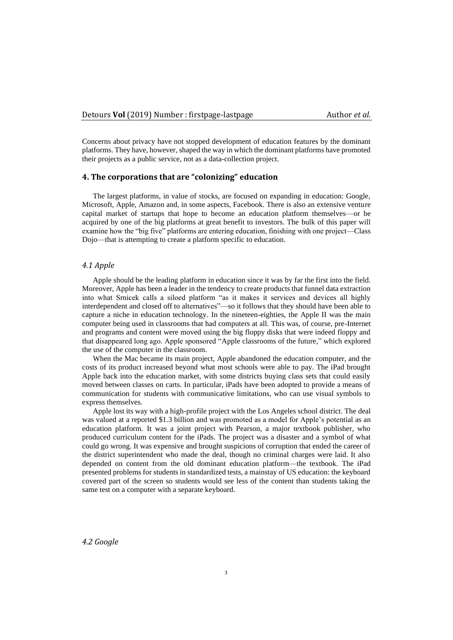Concerns about privacy have not stopped development of education features by the dominant platforms. They have, however, shaped the way in which the dominant platforms have promoted their projects as a public service, not as a data-collection project.

#### **4. The corporations that are "colonizing" education**

The largest platforms, in value of stocks, are focused on expanding in education: Google, Microsoft, Apple, Amazon and, in some aspects, Facebook. There is also an extensive venture capital market of startups that hope to become an education platform themselves—or be acquired by one of the big platforms at great benefit to investors. The bulk of this paper will examine how the "big five" platforms are entering education, finishing with one project—Class Dojo—that is attempting to create a platform specific to education.

#### *4.1 Apple*

Apple should be the leading platform in education since it was by far the first into the field. Moreover, Apple has been a leader in the tendency to create products that funnel data extraction into what Srnicek calls a siloed platform "as it makes it services and devices all highly interdependent and closed off to alternatives"—so it follows that they should have been able to capture a niche in education technology. In the nineteen-eighties, the Apple II was the main computer being used in classrooms that had computers at all. This was, of course, pre-Internet and programs and content were moved using the big floppy disks that were indeed floppy and that disappeared long ago. Apple sponsored "Apple classrooms of the future," which explored the use of the computer in the classroom.

When the Mac became its main project, Apple abandoned the education computer, and the costs of its product increased beyond what most schools were able to pay. The iPad brought Apple back into the education market, with some districts buying class sets that could easily moved between classes on carts. In particular, iPads have been adopted to provide a means of communication for students with communicative limitations, who can use visual symbols to express themselves.

Apple lost its way with a high-profile project with the Los Angeles school district. The deal was valued at a reported \$1.3 billion and was promoted as a model for Apple's potential as an education platform. It was a joint project with Pearson, a major textbook publisher, who produced curriculum content for the iPads. The project was a disaster and a symbol of what could go wrong. It was expensive and brought suspicions of corruption that ended the career of the district superintendent who made the deal, though no criminal charges were laid. It also depended on content from the old dominant education platform—the textbook. The iPad presented problems for students in standardized tests, a mainstay of US education: the keyboard covered part of the screen so students would see less of the content than students taking the same test on a computer with a separate keyboard.

*4.2 Google*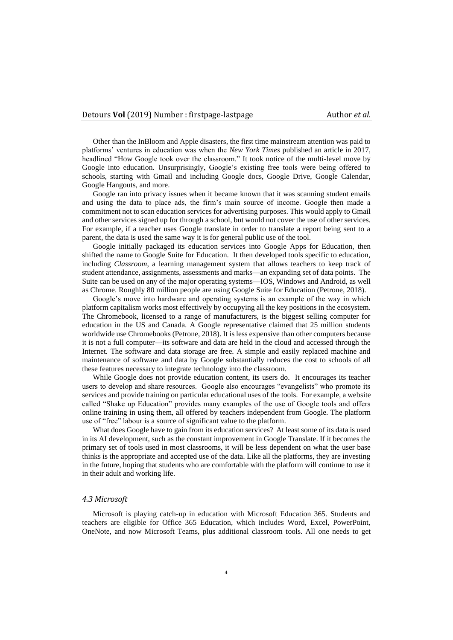Other than the InBloom and Apple disasters, the first time mainstream attention was paid to platforms' ventures in education was when the *New York Times* published an article in 2017, headlined "How Google took over the classroom." It took notice of the multi-level move by Google into education. Unsurprisingly, Google's existing free tools were being offered to schools, starting with Gmail and including Google docs, Google Drive, Google Calendar, Google Hangouts, and more.

Google ran into privacy issues when it became known that it was scanning student emails and using the data to place ads, the firm's main source of income. Google then made a commitment not to scan education services for advertising purposes. This would apply to Gmail and other services signed up for through a school, but would not cover the use of other services. For example, if a teacher uses Google translate in order to translate a report being sent to a parent, the data is used the same way it is for general public use of the tool.

Google initially packaged its education services into Google Apps for Education, then shifted the name to Google Suite for Education. It then developed tools specific to education, including *Classroom*, a learning management system that allows teachers to keep track of student attendance, assignments, assessments and marks—an expanding set of data points. The Suite can be used on any of the major operating systems—IOS, Windows and Android, as well as Chrome. Roughly 80 million people are using Google Suite for Education (Petrone, 2018).

Google's move into hardware and operating systems is an example of the way in which platform capitalism works most effectively by occupying all the key positions in the ecosystem. The Chromebook, licensed to a range of manufacturers, is the biggest selling computer for education in the US and Canada. A Google representative claimed that 25 million students worldwide use Chromebooks (Petrone, 2018). It is less expensive than other computers because it is not a full computer—its software and data are held in the cloud and accessed through the Internet. The software and data storage are free. A simple and easily replaced machine and maintenance of software and data by Google substantially reduces the cost to schools of all these features necessary to integrate technology into the classroom.

While Google does not provide education content, its users do. It encourages its teacher users to develop and share resources. Google also encourages "evangelists" who promote its services and provide training on particular educational uses of the tools. For example, a website called "Shake up Education" provides many examples of the use of Google tools and offers online training in using them, all offered by teachers independent from Google. The platform use of "free" labour is a source of significant value to the platform.

What does Google have to gain from its education services? At least some of its data is used in its AI development, such as the constant improvement in Google Translate. If it becomes the primary set of tools used in most classrooms, it will be less dependent on what the user base thinks is the appropriate and accepted use of the data. Like all the platforms, they are investing in the future, hoping that students who are comfortable with the platform will continue to use it in their adult and working life.

# *4.3 Microsoft*

Microsoft is playing catch-up in education with Microsoft Education 365. Students and teachers are eligible for Office 365 Education, which includes Word, Excel, PowerPoint, OneNote, and now Microsoft Teams, plus additional classroom tools. All one needs to get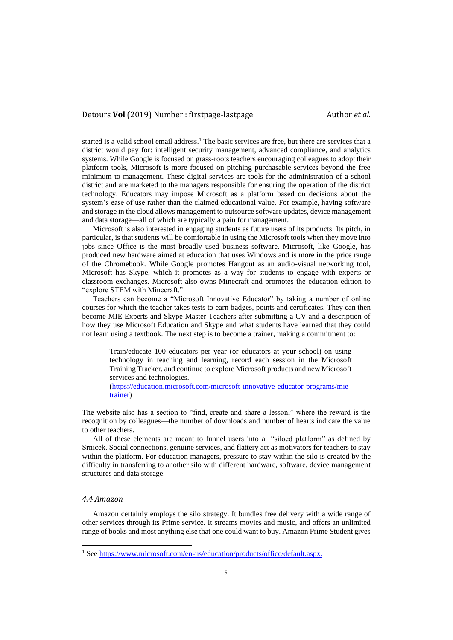started is a valid school email address. <sup>1</sup> The basic services are free, but there are services that a district would pay for: intelligent security management, advanced compliance, and analytics systems. While Google is focused on grass-roots teachers encouraging colleagues to adopt their platform tools, Microsoft is more focused on pitching purchasable services beyond the free minimum to management. These digital services are tools for the administration of a school district and are marketed to the managers responsible for ensuring the operation of the district technology. Educators may impose Microsoft as a platform based on decisions about the system's ease of use rather than the claimed educational value. For example, having software and storage in the cloud allows management to outsource software updates, device management and data storage—all of which are typically a pain for management.

Microsoft is also interested in engaging students as future users of its products. Its pitch, in particular, is that students will be comfortable in using the Microsoft tools when they move into jobs since Office is the most broadly used business software. Microsoft, like Google, has produced new hardware aimed at education that uses Windows and is more in the price range of the Chromebook. While Google promotes Hangout as an audio-visual networking tool, Microsoft has Skype, which it promotes as a way for students to engage with experts or classroom exchanges. Microsoft also owns Minecraft and promotes the education edition to "explore STEM with Minecraft."

Teachers can become a "Microsoft Innovative Educator" by taking a number of online courses for which the teacher takes tests to earn badges, points and certificates. They can then become MIE Experts and Skype Master Teachers after submitting a CV and a description of how they use Microsoft Education and Skype and what students have learned that they could not learn using a textbook. The next step is to become a trainer, making a commitment to:

Train/educate 100 educators per year (or educators at your school) on using technology in teaching and learning, record each session in the Microsoft Training Tracker, and continue to explore Microsoft products and new Microsoft services and technologies.

[\(https://education.microsoft.com/microsoft-innovative-educator-programs/mie](https://education.microsoft.com/microsoft-innovative-educator-programs/mie-trainer)[trainer\)](https://education.microsoft.com/microsoft-innovative-educator-programs/mie-trainer)

The website also has a section to "find, create and share a lesson," where the reward is the recognition by colleagues—the number of downloads and number of hearts indicate the value to other teachers.

All of these elements are meant to funnel users into a "siloed platform" as defined by Srnicek. Social connections, genuine services, and flattery act as motivators for teachers to stay within the platform. For education managers, pressure to stay within the silo is created by the difficulty in transferring to another silo with different hardware, software, device management structures and data storage.

# *4.4 Amazon*

Amazon certainly employs the silo strategy. It bundles free delivery with a wide range of other services through its Prime service. It streams movies and music, and offers an unlimited range of books and most anything else that one could want to buy. Amazon Prime Student gives

<sup>1</sup> Se[e https://www.microsoft.com/en-us/education/products/office/default.aspx.](https://www.microsoft.com/en-us/education/products/office/default.aspx)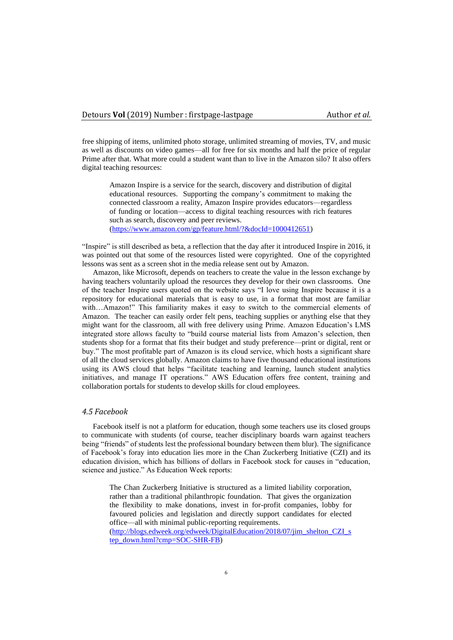free shipping of items, unlimited photo storage, unlimited streaming of movies, TV, and music as well as discounts on video games—all for free for six months and half the price of regular Prime after that. What more could a student want than to live in the Amazon silo? It also offers digital teaching resources:

Amazon Inspire is a service for the search, discovery and distribution of digital educational resources. Supporting the company's commitment to making the connected classroom a reality, Amazon Inspire provides educators—regardless of funding or location—access to digital teaching resources with rich features such as search, discovery and peer reviews. [\(https://www.amazon.com/gp/feature.html/?&docId=1000412651\)](https://www.amazon.com/gp/feature.html/?&docId=1000412651)

"Inspire" is still described as beta, a reflection that the day after it introduced Inspire in 2016, it was pointed out that some of the resources listed were copyrighted. One of the copyrighted lessons was sent as a screen shot in the media release sent out by Amazon.

Amazon, like Microsoft, depends on teachers to create the value in the lesson exchange by having teachers voluntarily upload the resources they develop for their own classrooms. One of the teacher Inspire users quoted on the website says "I love using Inspire because it is a repository for educational materials that is easy to use, in a format that most are familiar with…Amazon!" This familiarity makes it easy to switch to the commercial elements of Amazon. The teacher can easily order felt pens, teaching supplies or anything else that they might want for the classroom, all with free delivery using Prime. Amazon Education's LMS integrated store allows faculty to "build course material lists from Amazon's selection, then students shop for a format that fits their budget and study preference—print or digital, rent or buy." The most profitable part of Amazon is its cloud service, which hosts a significant share of all the cloud services globally. Amazon claims to have five thousand educational institutions using its AWS cloud that helps "facilitate teaching and learning, launch student analytics initiatives, and manage IT operations." AWS Education offers free content, training and collaboration portals for students to develop skills for cloud employees.

# *4.5 Facebook*

Facebook itself is not a platform for education, though some teachers use its closed groups to communicate with students (of course, teacher disciplinary boards warn against teachers being "friends" of students lest the professional boundary between them blur). The significance of Facebook's foray into education lies more in the Chan Zuckerberg Initiative (CZI) and its education division, which has billions of dollars in Facebook stock for causes in "education, science and justice." As Education Week reports:

The Chan Zuckerberg Initiative is structured as a limited liability corporation, rather than a traditional philanthropic foundation. That gives the organization the flexibility to make donations, invest in for-profit companies, lobby for favoured policies and legislation and directly support candidates for elected office—all with minimal public-reporting requirements. [\(http://blogs.edweek.org/edweek/DigitalEducation/2018/07/jim\\_shelton\\_CZI\\_s](http://blogs.edweek.org/edweek/DigitalEducation/2018/07/jim_shelton_CZI_step_down.html?cmp=SOC-SHR-FB) [tep\\_down.html?cmp=SOC-SHR-FB\)](http://blogs.edweek.org/edweek/DigitalEducation/2018/07/jim_shelton_CZI_step_down.html?cmp=SOC-SHR-FB)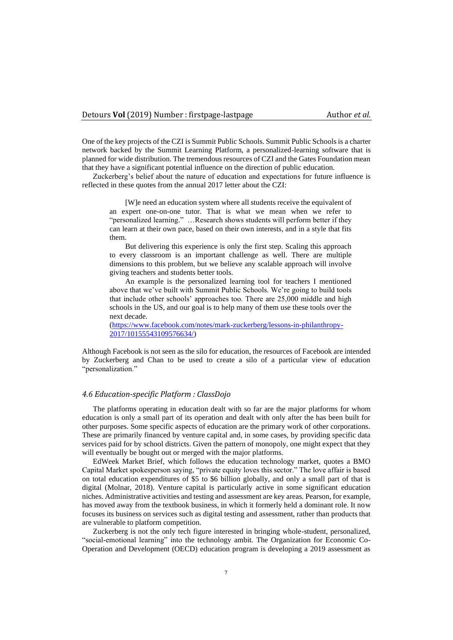One of the key projects of the CZI is Summit Public Schools. Summit Public Schools is a charter network backed by the Summit Learning Platform, a personalized-learning software that is planned for wide distribution. The tremendous resources of CZI and the Gates Foundation mean that they have a significant potential influence on the direction of public education.

Zuckerberg's belief about the nature of education and expectations for future influence is reflected in these quotes from the annual 2017 letter about the CZI:

[W]e need an education system where all students receive the equivalent of an expert one-on-one tutor. That is what we mean when we refer to "personalized learning." …Research shows students will perform better if they can learn at their own pace, based on their own interests, and in a style that fits them.

But delivering this experience is only the first step. Scaling this approach to every classroom is an important challenge as well. There are multiple dimensions to this problem, but we believe any scalable approach will involve giving teachers and students better tools.

An example is the personalized learning tool for teachers I mentioned above that we've built with Summit Public Schools. We're going to build tools that include other schools' approaches too. There are 25,000 middle and high schools in the US, and our goal is to help many of them use these tools over the next decade.

[\(https://www.facebook.com/notes/mark-zuckerberg/lessons-in-philanthropy-](https://www.facebook.com/notes/mark-zuckerberg/lessons-in-philanthropy-2017/10155543109576634/)[2017/10155543109576634/\)](https://www.facebook.com/notes/mark-zuckerberg/lessons-in-philanthropy-2017/10155543109576634/)

Although Facebook is not seen as the silo for education, the resources of Facebook are intended by Zuckerberg and Chan to be used to create a silo of a particular view of education "personalization."

## *4.6 Education-specific Platform : ClassDojo*

The platforms operating in education dealt with so far are the major platforms for whom education is only a small part of its operation and dealt with only after the has been built for other purposes. Some specific aspects of education are the primary work of other corporations. These are primarily financed by venture capital and, in some cases, by providing specific data services paid for by school districts. Given the pattern of monopoly, one might expect that they will eventually be bought out or merged with the major platforms.

EdWeek Market Brief, which follows the education technology market, quotes a BMO Capital Market spokesperson saying, "private equity loves this sector." The love affair is based on total education expenditures of \$5 to \$6 billion globally, and only a small part of that is digital (Molnar, 2018). Venture capital is particularly active in some significant education niches. Administrative activities and testing and assessment are key areas. Pearson, for example, has moved away from the textbook business, in which it formerly held a dominant role. It now focuses its business on services such as digital testing and assessment, rather than products that are vulnerable to platform competition.

Zuckerberg is not the only tech figure interested in bringing whole-student, personalized, "social-emotional learning" into the technology ambit. The Organization for Economic Co-Operation and Development (OECD) education program is developing a 2019 assessment as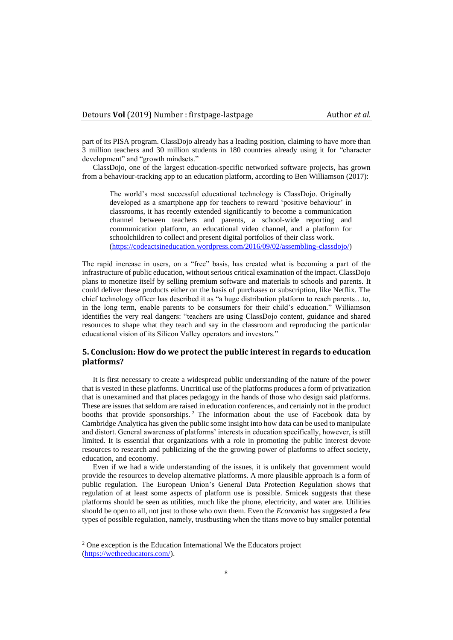part of its PISA program. ClassDojo already has a leading position, claiming to have more than 3 million teachers and 30 million students in 180 countries already using it for "character development" and "growth mindsets."

ClassDojo, one of the largest education-specific networked software projects, has grown from a behaviour-tracking app to an education platform, according to Ben Williamson (2017):

The world's most successful educational technology is ClassDojo. Originally developed as a smartphone app for teachers to reward 'positive behaviour' in classrooms, it has recently extended significantly to become a communication channel between teachers and parents, a school-wide reporting and communication platform, an educational video channel, and a platform for schoolchildren to collect and present digital portfolios of their class work. [\(https://codeactsineducation.wordpress.com/2016/09/02/assembling-classdojo/\)](https://codeactsineducation.wordpress.com/2016/09/02/assembling-classdojo/)

The rapid increase in users, on a "free" basis, has created what is becoming a part of the infrastructure of public education, without serious critical examination of the impact. ClassDojo plans to monetize itself by selling premium software and materials to schools and parents. It could deliver these products either on the basis of purchases or subscription, like Netflix. The chief technology officer has described it as "a huge distribution platform to reach parents…to, in the long term, enable parents to be consumers for their child's education." Williamson identifies the very real dangers: "teachers are using ClassDojo content, guidance and shared resources to shape what they teach and say in the classroom and reproducing the particular educational vision of its Silicon Valley operators and investors."

# **5. Conclusion: How do we protect the public interest in regards to education platforms?**

It is first necessary to create a widespread public understanding of the nature of the power that is vested in these platforms. Uncritical use of the platforms produces a form of privatization that is unexamined and that places pedagogy in the hands of those who design said platforms. These are issues that seldom are raised in education conferences, and certainly not in the product booths that provide sponsorships. <sup>2</sup> The information about the use of Facebook data by Cambridge Analytica has given the public some insight into how data can be used to manipulate and distort. General awareness of platforms' interests in education specifically, however, is still limited. It is essential that organizations with a role in promoting the public interest devote resources to research and publicizing of the the growing power of platforms to affect society, education, and economy.

Even if we had a wide understanding of the issues, it is unlikely that government would provide the resources to develop alternative platforms. A more plausible approach is a form of public regulation. The European Union's General Data Protection Regulation shows that regulation of at least some aspects of platform use is possible. Srnicek suggests that these platforms should be seen as utilities, much like the phone, electricity, and water are. Utilities should be open to all, not just to those who own them. Even the *Economist* has suggested a few types of possible regulation, namely, trustbusting when the titans move to buy smaller potential

<sup>&</sup>lt;sup>2</sup> One exception is the Education International We the Educators project [\(https://wetheeducators.com/\)](https://wetheeducators.com/).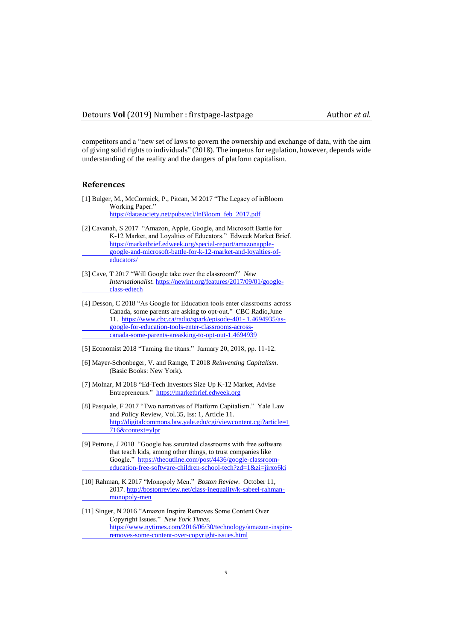competitors and a "new set of laws to govern the ownership and exchange of data, with the aim of giving solid rights to individuals" (2018). The impetus for regulation, however, depends wide understanding of the reality and the dangers of platform capitalism.

#### **References**

- [1] Bulger, M., McCormick, P., Pitcan, M 2017 "The Legacy of inBloom Working Paper." [https://datasociety.net/pubs/ecl/InBloom\\_feb\\_2017.pdf](https://datasociety.net/pubs/ecl/InBloom_feb_2017.pdf)
- [2] Cavanah, S 2017 "Amazon, Apple, Google, and Microsoft Battle for K-12 Market, and Loyalties of Educators." Edweek Market Brief. [https://marketbrief.edweek.org/special-report/amazonapple](https://marketbrief.edweek.org/special-report/amazonapple-%09google-and-microsoft-battle-for-k-12-market-and-loyalties-of-%09educators/)[google-and-microsoft-battle-for-k-12-market-and-loyalties-of](https://marketbrief.edweek.org/special-report/amazonapple-%09google-and-microsoft-battle-for-k-12-market-and-loyalties-of-%09educators/)[educators/](https://marketbrief.edweek.org/special-report/amazonapple-%09google-and-microsoft-battle-for-k-12-market-and-loyalties-of-%09educators/)
- [3] Cave, T 2017 "Will Google take over the classroom?" *New Internationalist*[. https://newint.org/features/2017/09/01/google](https://newint.org/features/2017/09/01/google-class-edtech)[class-edtech](https://newint.org/features/2017/09/01/google-class-edtech)
- [4] Desson, C 2018 "As Google for Education tools enter classrooms across Canada, some parents are asking to opt-out." CBC Radio,June 11. [https://www.cbc.ca/radio/spark/episode-401-](https://www.cbc.ca/radio/spark/episode-401-%091.4694935/as-google-for-education-tools-enter-classrooms-across-%09canada-some-parents-areasking-to-opt-out-1.4694939) 1.4694935/as[google-for-education-tools-enter-classrooms-across](https://www.cbc.ca/radio/spark/episode-401-%091.4694935/as-google-for-education-tools-enter-classrooms-across-%09canada-some-parents-areasking-to-opt-out-1.4694939)[canada-some-parents-areasking-to-opt-out-1.4694939](https://www.cbc.ca/radio/spark/episode-401-%091.4694935/as-google-for-education-tools-enter-classrooms-across-%09canada-some-parents-areasking-to-opt-out-1.4694939)
- [5] Economist 2018 "Taming the titans." January 20, 2018, pp. 11-12.
- [6] Mayer-Schonbeger, V. and Ramge, T 2018 *Reinventing Capitalism*. (Basic Books: New York).
- [7] Molnar, M 2018 "Ed-Tech Investors Size Up K-12 Market, Advise Entrepreneurs." [https://marketbrief.edweek.org](https://marketbrief.edweek.org/)
- [8] Pasquale, F 2017 "Two narratives of Platform Capitalism." Yale Law and Policy Review, Vol.35, Iss: 1, Article 11. [http://digitalcommons.law.yale.edu/cgi/viewcontent.cgi?article=1](http://digitalcommons.law.yale.edu/cgi/viewcontent.cgi?article=1%09716&context=ylpr) [716&context=ylpr](http://digitalcommons.law.yale.edu/cgi/viewcontent.cgi?article=1%09716&context=ylpr)
- [9] Petrone, J 2018 "Google has saturated classrooms with free software that teach kids, among other things, to trust companies like Google." [https://theoutline.com/post/4436/google-classroom](https://theoutline.com/post/4436/google-classroom-education-free-software-children-school-tech?zd=1&zi=jirxo6ki)[education-free-software-children-school-tech?zd=1&zi=jirxo6ki](https://theoutline.com/post/4436/google-classroom-education-free-software-children-school-tech?zd=1&zi=jirxo6ki)
- [10] Rahman, K 2017 "Monopoly Men." *Boston Review*. October 11, 2017[. http://bostonreview.net/class-inequality/k-sabeel-rahman](http://bostonreview.net/class-inequality/k-sabeel-rahman-monopoly-men)[monopoly-men](http://bostonreview.net/class-inequality/k-sabeel-rahman-monopoly-men)
- [11] Singer, N 2016 "Amazon Inspire Removes Some Content Over Copyright Issues." *New York Times*, [https://www.nytimes.com/2016/06/30/technology/amazon-inspire](https://www.nytimes.com/2016/06/30/technology/amazon-inspire-%09removes-some-content-over-copyright-issues.html)[removes-some-content-over-copyright-issues.html](https://www.nytimes.com/2016/06/30/technology/amazon-inspire-%09removes-some-content-over-copyright-issues.html)